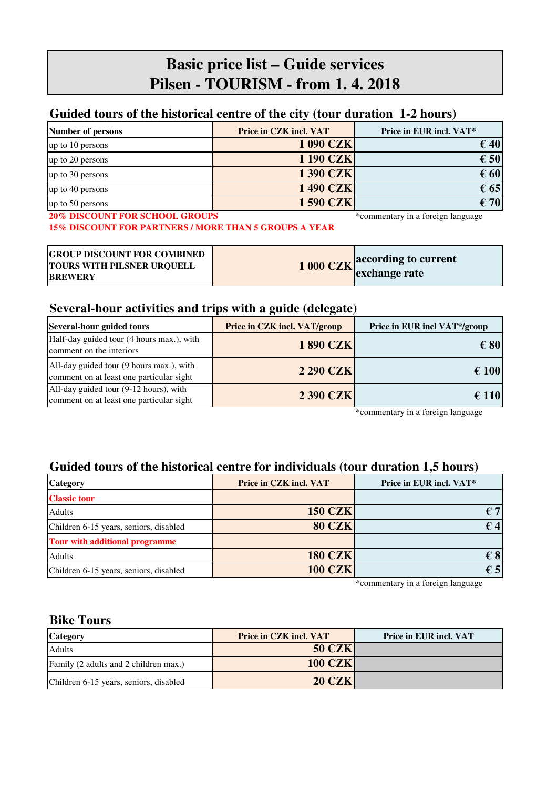# **Basic price list – Guide services Pilsen - TOURISM - from 1. 4. 2018**

#### **Guided tours of the historical centre of the city (tour duration 1-2 hours)**

| <b>Number of persons</b> | Price in CZK incl. VAT | Price in EUR incl. VAT* |
|--------------------------|------------------------|-------------------------|
| up to 10 persons         | <b>1 090 CZK</b>       | $\epsilon$ 40           |
| up to 20 persons         | <b>1190 CZK</b>        | $\epsilon$ 50           |
| up to 30 persons         | <b>1390 CZK</b>        | $\epsilon$ 60           |
| up to 40 persons         | <b>1490 CZK</b>        | $\epsilon$ 65           |
| up to 50 persons         | <b>1590 CZK</b>        | $\epsilon$ 70           |

**20% DISCOUNT FOR SCHOOL GROUPS** \*commentary in a foreign language **15% DISCOUNT FOR PARTNERS / MORE THAN 5 GROUPS A YEAR**

| <b>GROUP DISCOUNT FOR COMBINED</b><br><b>TOURS WITH PILSNER URQUELL</b><br><b><i>RREWERY</i></b> | <b>1000 CZK</b> according to current<br>exchange rate |
|--------------------------------------------------------------------------------------------------|-------------------------------------------------------|

#### **Several-hour activities and trips with a guide (delegate)**

| Several-hour guided tours                                                            | Price in CZK incl. VAT/group | Price in EUR incl VAT*/group |
|--------------------------------------------------------------------------------------|------------------------------|------------------------------|
| Half-day guided tour (4 hours max.), with<br>comment on the interiors                | <b>1890 CZK</b>              | $\epsilon$ 80                |
| All-day guided tour (9 hours max.), with<br>comment on at least one particular sight | <b>2 290 CZK</b>             | $\epsilon$ 100               |
| All-day guided tour (9-12 hours), with<br>comment on at least one particular sight   | <b>2 390 CZK</b>             | $\epsilon$ 110               |

\*commentary in a foreign language

#### **Guided tours of the historical centre for individuals (tour duration 1,5 hours)**

| <b>Category</b>                        | <b>Price in CZK incl. VAT</b> | Price in EUR incl. VAT* |
|----------------------------------------|-------------------------------|-------------------------|
| <b>Classic tour</b>                    |                               |                         |
| <b>Adults</b>                          | <b>150 CZK</b>                | € 71                    |
| Children 6-15 years, seniors, disabled | <b>80 CZK</b>                 | $\epsilon$ 4            |
| Tour with additional programme         |                               |                         |
| <b>Adults</b>                          | <b>180 CZK</b>                | $\epsilon$ 8            |
| Children 6-15 years, seniors, disabled | <b>100 CZK</b>                | $\epsilon$ 5            |

\*commentary in a foreign language

#### **Bike Tours**

**BREWERY**

| <b>Category</b>                        | <b>Price in CZK incl. VAT</b> | <b>Price in EUR incl. VAT</b> |
|----------------------------------------|-------------------------------|-------------------------------|
| Adults                                 | <b>50 CZK</b>                 |                               |
| Family (2 adults and 2 children max.)  | <b>100 CZK</b>                |                               |
| Children 6-15 years, seniors, disabled | <b>20 CZK</b>                 |                               |